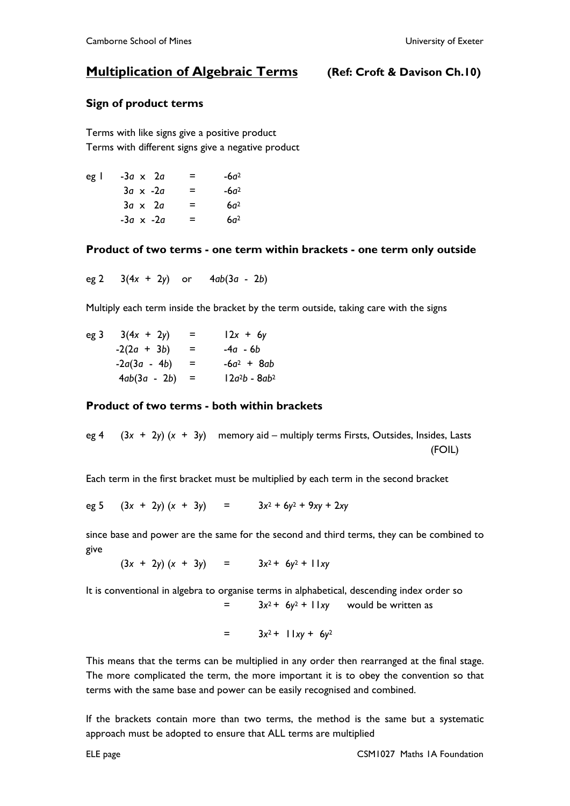# **Multiplication of Algebraic Terms (Ref: Croft & Davison Ch.10)**

### **Sign of product terms**

Terms with like signs give a positive product Terms with different signs give a negative product

| eg I | $-3a \times 2a$  | = | $-6d^2$         |
|------|------------------|---|-----------------|
|      | $3a \times -2a$  | = | $-6a2$          |
|      | $3a \times 2a$   | = | 6a <sup>2</sup> |
|      | $-3a \times -2a$ | = | 6a <sup>2</sup> |

#### **Product of two terms - one term within brackets - one term only outside**

eg 2 3(4*x* + 2*y*) or 4*ab*(3*a* - 2*b*)

Multiply each term inside the bracket by the term outside, taking care with the signs

| eg 3 | $3(4x + 2y)$     | = | $12x + 6y$       |
|------|------------------|---|------------------|
|      | $-2(2a + 3b)$    | = | -4a - 6b         |
|      | $-2a(3a - 4b)$   | = | $-6a^2 + 8ab$    |
|      | $4ab(3a - 2b) =$ |   | $12a^2b - 8ab^2$ |

#### **Product of two terms - both within brackets**

eg 4 (3*x* + 2*y*) (*x* + 3*y*) memor*y* aid – multipl*y* terms Firsts, Outsides, Insides, Lasts (FOIL)

Each term in the first bracket must be multiplied b*y* each term in the second bracket

eg 5 (3*x* + 2*y*) (*x* + 3*y*) = 3*x* <sup>2</sup> + 6*y* <sup>2</sup> + 9*xy* + 2*xy*

since base and power are the same for the second and third terms, the*y* can be combined to give

 $(3x + 2y) (x + 3y) = 3x^2 + 6y^2 + 11xy$ 

It is conventional in algebra to organise terms in alphabetical, descending inde*x* order so  $=$   $3x^2 + 6y^2 + 11xy$  would be written as

$$
= 3x^2 + 11xy + 6y^2
$$

This means that the terms can be multiplied in any order then rearranged at the final stage. The more complicated the term, the more important it is to obey the convention so that terms with the same base and power can be easily recognised and combined.

If the brackets contain more than two terms, the method is the same but a systematic approach must be adopted to ensure that ALL terms are multiplied